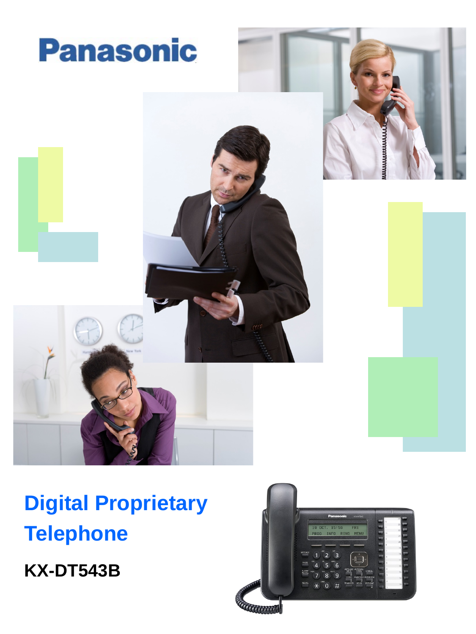

**Digital Proprietary Telephone**

**KX-DT543B**